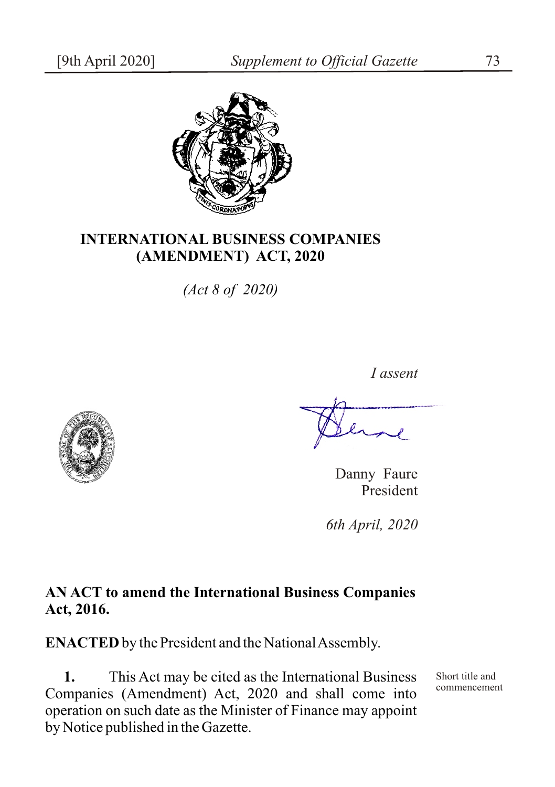

## **INTERNATIONAL BUSINESS COMPANIES (AMENDMENT) ACT, 2020**

*(Act 8 of 2020)*



*I assent*

Danny Faure President

*6th April, 2020*

## **AN ACT to amend the International Business Companies Act, 2016.**

**ENACTED** by the President and the National Assembly.

**1.** This Act may be cited as the International Business Companies (Amendment) Act, 2020 and shall come into operation on such date as the Minister of Finance may appoint by Notice published in the Gazette.

Short title and commencement